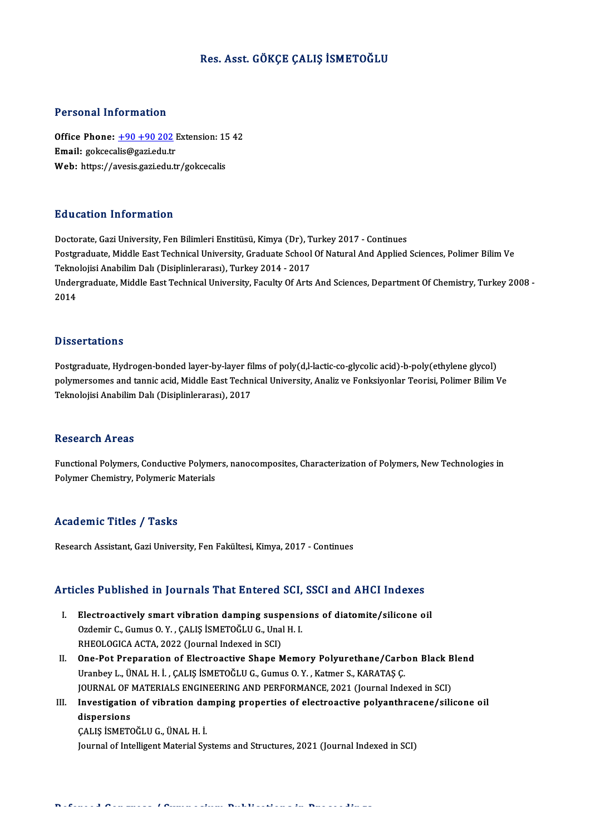# Res. Asst. GÖKÇE ÇALIŞ İSMETOĞLU

## Personal Information

Personal Information<br>Office Phone: <u>+90 +90 202</u> Extension: 15 42<br>Email: gelseselis@sari.edu.tr 1 STOOMAT INTO MARCON<br>Office Phone: <u>+90 +90 202</u> l<br>Email: gokceca[lis@gazi.edu.tr](tel:+90 +90 202) Office Phone: <u>+90 +90 202</u> Extension: 15<br>Email: gokcecalis@gazi.edu.tr<br>Web: https://avesis.gazi.edu.tr/gokcecalis Web: https://avesis.gazi.edu.tr/gokcecalis<br>Education Information

Doctorate, Gazi University, Fen Bilimleri Enstitüsü, Kimya (Dr), Turkey 2017 - Continues Pu u outlon Timor Inderon<br>Doctorate, Gazi University, Fen Bilimleri Enstitüsü, Kimya (Dr), Turkey 2017 - Continues<br>Postgraduate, Middle East Technical University, Graduate School Of Natural And Applied Sciences, Polimer Bi Doctorate, Gazi University, Fen Bilimleri Enstitüsü, Kimya (Dr), T<br>Postgraduate, Middle East Technical University, Graduate School<br>Teknolojisi Anabilim Dalı (Disiplinlerarası), Turkey 2014 - 2017<br>Undergraduate Middle Fast Undergraduate, Middle East Technical University, Faculty Of Arts And Sciences, Department Of Chemistry, Turkey 2008 -<br>2014 Teknolojisi Anabilim Dalı (Disiplinlerarası), Turkey 2014 - 2017

### **Dissertations**

Postgraduate, Hydrogen-bonded layer-by-layer films of poly(d,l-lactic-co-glycolic acid)-b-poly(ethylene glycol) polymersomes and tannic acid, Middle East Technical University, Analiz ve Fonksiyonlar Teorisi, Polimer Bilim Ve Teknolojisi Anabilim Dalı (Disiplinlerarası), 2017

#### **Research Areas**

Research Areas<br>Functional Polymers, Conductive Polymers, nanocomposites, Characterization of Polymers, New Technologies in<br>Polymer Chamistwy Polymoris Materials ressear en 111 eas<br>Functional Polymers, Conductive Polyme<br>Polymer Chemistry, Polymeric Materials Polymer Chemistry, Polymeric Materials<br>Academic Titles / Tasks

Research Assistant, Gazi University, Fen Fakültesi, Kimya, 2017 - Continues

# Research Assistant, Gazi University, Fen Fakultesi, Kimya, 2017 - Continues<br>Articles Published in Journals That Entered SCI, SSCI and AHCI Indexes

- rticles Published in Journals That Entered SCI, SSCI and AHCI Indexes<br>I. Electroactively smart vibration damping suspensions of diatomite/silicone oil<br>Ordemir C. Cumus O. X., CALIS ISMETOČLU C. Upal H. I. I. Electroactively smart vibration damping suspensions of diatomite/silicone oil Ozdemir C., Gumus O.Y., CALIŞ İSMETOĞLU G., Unal H. I. RHEOLOGICA ACTA, 2022 (Journal Indexed in SCI) Ozdemir C., Gumus O. Y., ÇALIŞ İSMETOĞLU G., Unal H. I.<br>RHEOLOGICA ACTA, 2022 (Journal Indexed in SCI)<br>II. One-Pot Preparation of Electroactive Shape Memory Polyurethane/Carbon Black Blend<br>IIraphov L. ÜNAL H.J., CALIS İSME
- RHEOLOGICA ACTA, 2022 (Journal Indexed in SCI)<br>One-Pot Preparation of Electroactive Shape Memory Polyurethane/Carb<br>Uranbey L., ÜNAL H. İ. , ÇALIŞ İSMETOĞLU G., Gumus O.Y. , Katmer S., KARATAŞ Ç.<br>JOUPNAL OE MATERIALS ENCINE One-Pot Preparation of Electroactive Shape Memory Polyurethane/Carbon Black B<br>Uranbey L., ÜNAL H. İ. , ÇALIŞ İSMETOĞLU G., Gumus O. Y. , Katmer S., KARATAŞ Ç.<br>JOURNAL OF MATERIALS ENGINEERING AND PERFORMANCE, 2021 (Journal Uranbey L., ÜNAL H. İ. , ÇALIŞ İSMETOĞLU G., Gumus O. Y. , Katmer S., KARATAŞ Ç.<br>JOURNAL OF MATERIALS ENGINEERING AND PERFORMANCE, 2021 (Journal Indexed in SCI)<br>III. Investigation of vibration damping properties of electro
- **JOURNAL OF<br>Investigation<br>dispersions**<br>CALIS iSMETC Investigation of vibration da<br>dispersions<br>ÇALIŞ İSMETOĞLU G., ÜNAL H. İ.<br>Journal of Intelligent Meterial Sv

di<mark>spersions</mark><br>CALIŞ İSMETOĞLU G., ÜNAL H. İ.<br>Journal of Intelligent Material Systems and Structures, 2021 (Journal Indexed in SCI)